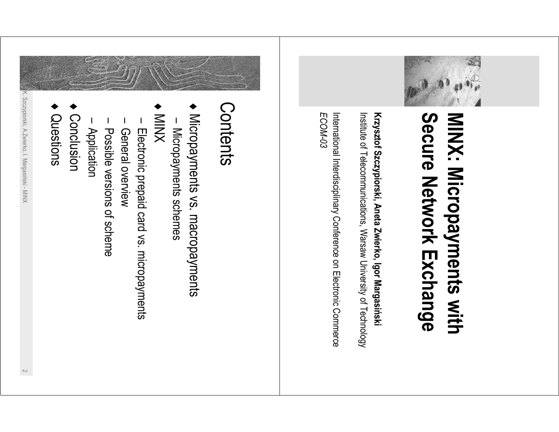

## Secure Network Exchange MINX: Micropayments with

Krzysztof Szczypiorski, Aneta Zwierko, Igor Margasiński Institute of Telecommunications, Warsaw University of Technology

International Interdisciplinary Conference on Electronic Commerce ECOM-03

## Contents

- Micropayments vs. macropayments
- Micropayments schemes
- XNIM
- Electronic prepaid card vs. micropayments
- General overview
- Possible versions of scheme
- Application
- Conclusion
- Questions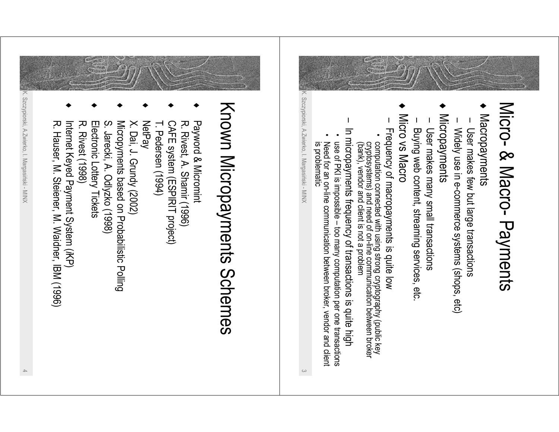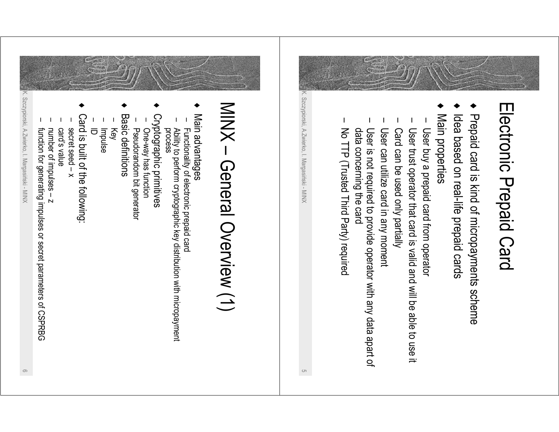

- Prepaid card is kind of micropayments scheme
- Idea based on real-life prepaid cards
- Main properties
- User buy a prepaid card from operator
- User trust operator that card is valid and will be able to use it
- Card can be used only partially
- User can utilize card in any moment
- data concerning the card User is not required to provide operator with any data apart of
- I No TTP (Trusted Third Party) required

K. Szczypiorski, A.Zwierko, I. Margasiński - MINX

 $\circ$ 

## MINX - General Overview (1)

- ◆ Main advantages
- Functionality of electronic prepaid card
- Ability to perform cryptographic key distribution with micropayment<br>process
- 
- Cryptographic primitives
- One-way has function
- Pseudorandom bit generator
- **Basic definitions**
- Key
- Impulse<br>ID
- 
- Card is built of the following:
- $x -$  peet seed  $-x$
- enjev s'oneo
- number of impulses z
- 

K. Szczypiorski, A.Zwierko, I. Margasiński - MINX

function for generating impulses or secret parameters of CSPRBG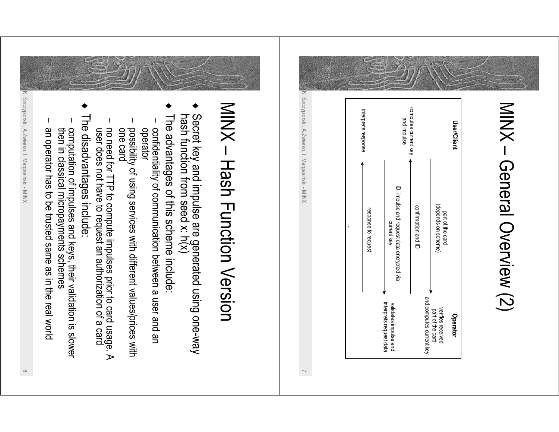

## MINX - Hash Function Version

- Secret key and impulse are generated using one-way<br>hash function from seed x: h(x)
- The advantages of this scheme include:
- confidentiality of communication between a user and an operator
- possibility of using services with different values/prices with<br>one card
- no need for TTP to compute impulses prior to card usage. A<br>user does not have to request an authorization of a card
- The disadvantages include:
- computation of impulses and keys, their validation is slower<br>then in classical micropayments schemes
- an operator has to be trusted same as in the real world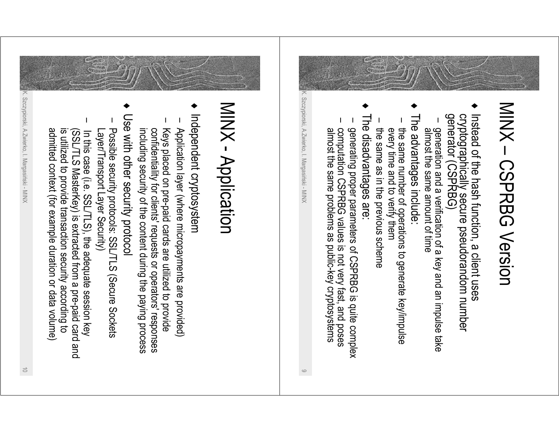

 $\circ$